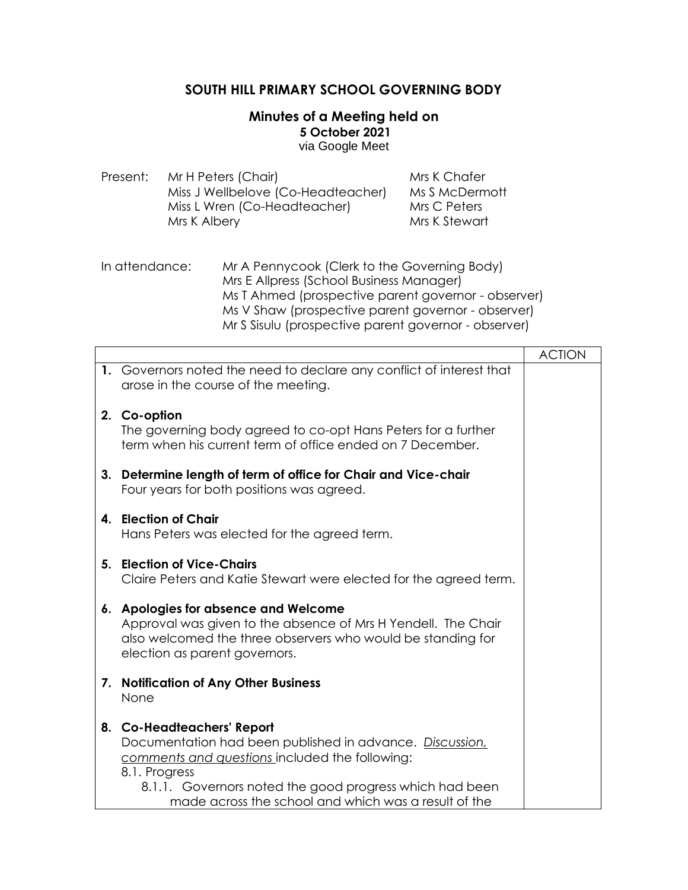## **SOUTH HILL PRIMARY SCHOOL GOVERNING BODY**

## **Minutes of a Meeting held on 5 October 2021** via Google Meet

| Present: | Mr H Peters (Chair)                | Mrs K Chafer   |
|----------|------------------------------------|----------------|
|          | Miss J Wellbelove (Co-Headteacher) | Ms S McDermott |
|          | Miss L Wren (Co-Headteacher)       | Mrs C Peters   |
|          | Mrs K Albery                       | Mrs K Stewart  |

| In attendance: | Mr A Pennycook (Clerk to the Governing Body)         |
|----------------|------------------------------------------------------|
|                | Mrs E Allpress (School Business Manager)             |
|                | Ms T Ahmed (prospective parent governor - observer)  |
|                | Ms V Shaw (prospective parent governor - observer)   |
|                | Mr S Sisulu (prospective parent governor - observer) |

|    |                                                                                                                                                                                                                                                                              | <b>ACTION</b> |
|----|------------------------------------------------------------------------------------------------------------------------------------------------------------------------------------------------------------------------------------------------------------------------------|---------------|
|    | 1. Governors noted the need to declare any conflict of interest that<br>arose in the course of the meeting.                                                                                                                                                                  |               |
|    | 2. Co-option<br>The governing body agreed to co-opt Hans Peters for a further<br>term when his current term of office ended on 7 December.                                                                                                                                   |               |
| 3. | Determine length of term of office for Chair and Vice-chair<br>Four years for both positions was agreed.                                                                                                                                                                     |               |
| 4. | <b>Election of Chair</b><br>Hans Peters was elected for the agreed term.                                                                                                                                                                                                     |               |
| 5. | <b>Election of Vice-Chairs</b><br>Claire Peters and Katie Stewart were elected for the agreed term.                                                                                                                                                                          |               |
|    | 6. Apologies for absence and Welcome<br>Approval was given to the absence of Mrs H Yendell. The Chair<br>also welcomed the three observers who would be standing for<br>election as parent governors.                                                                        |               |
| 7. | <b>Notification of Any Other Business</b><br>None                                                                                                                                                                                                                            |               |
|    | 8. Co-Headteachers' Report<br>Documentation had been published in advance. Discussion,<br>comments and questions included the following:<br>8.1. Progress<br>8.1.1. Governors noted the good progress which had been<br>made across the school and which was a result of the |               |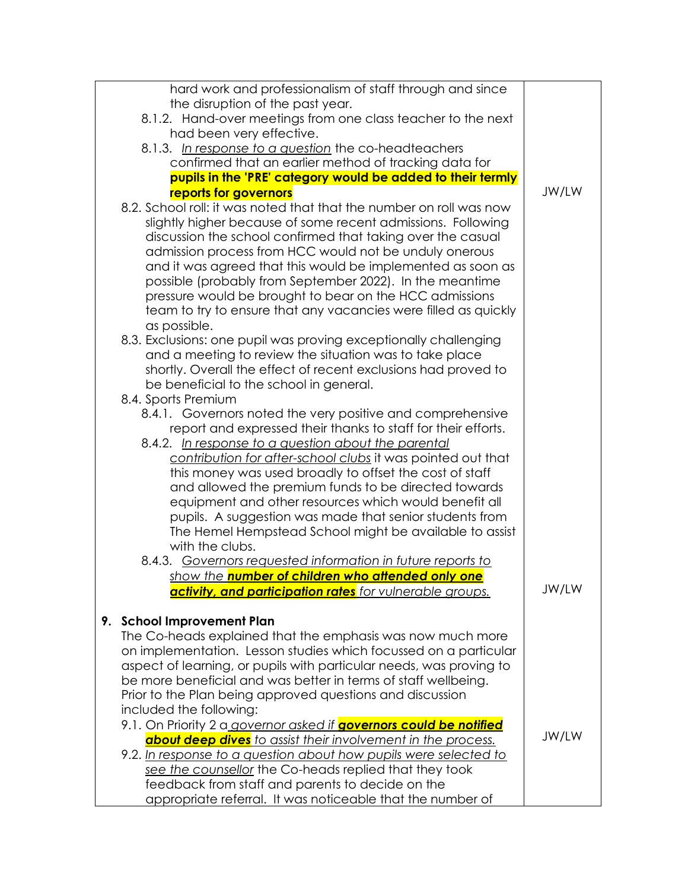| hard work and professionalism of staff through and since                                                                            |       |
|-------------------------------------------------------------------------------------------------------------------------------------|-------|
| the disruption of the past year.                                                                                                    |       |
| 8.1.2. Hand-over meetings from one class teacher to the next                                                                        |       |
| had been very effective.                                                                                                            |       |
| 8.1.3. In response to a question the co-headteachers                                                                                |       |
| confirmed that an earlier method of tracking data for                                                                               |       |
| pupils in the 'PRE' category would be added to their termly                                                                         |       |
| reports for governors                                                                                                               | JW/LW |
| 8.2. School roll: it was noted that that the number on roll was now<br>slightly higher because of some recent admissions. Following |       |
| discussion the school confirmed that taking over the casual                                                                         |       |
| admission process from HCC would not be unduly onerous                                                                              |       |
| and it was agreed that this would be implemented as soon as                                                                         |       |
| possible (probably from September 2022). In the meantime                                                                            |       |
| pressure would be brought to bear on the HCC admissions                                                                             |       |
| team to try to ensure that any vacancies were filled as quickly<br>as possible.                                                     |       |
| 8.3. Exclusions: one pupil was proving exceptionally challenging                                                                    |       |
| and a meeting to review the situation was to take place                                                                             |       |
| shortly. Overall the effect of recent exclusions had proved to                                                                      |       |
| be beneficial to the school in general.                                                                                             |       |
| 8.4. Sports Premium                                                                                                                 |       |
| 8.4.1. Governors noted the very positive and comprehensive                                                                          |       |
| report and expressed their thanks to staff for their efforts.                                                                       |       |
| 8.4.2. In response to a question about the parental                                                                                 |       |
| contribution for after-school clubs it was pointed out that                                                                         |       |
| this money was used broadly to offset the cost of staff                                                                             |       |
| and allowed the premium funds to be directed towards                                                                                |       |
| equipment and other resources which would benefit all                                                                               |       |
| pupils. A suggestion was made that senior students from                                                                             |       |
| The Hemel Hempstead School might be available to assist<br>with the clubs.                                                          |       |
| 8.4.3. Governors requested information in future reports to                                                                         |       |
| <u>show the number of children who attended only one</u>                                                                            |       |
| activity, and participation rates for vulnerable groups.                                                                            | JW/LW |
|                                                                                                                                     |       |
| <b>School Improvement Plan</b><br>9.                                                                                                |       |
| The Co-heads explained that the emphasis was now much more                                                                          |       |
| on implementation. Lesson studies which focussed on a particular                                                                    |       |
| aspect of learning, or pupils with particular needs, was proving to                                                                 |       |
| be more beneficial and was better in terms of staff wellbeing.                                                                      |       |
| Prior to the Plan being approved questions and discussion                                                                           |       |
| included the following:                                                                                                             |       |
| 9.1. On Priority 2 a governor asked if <b>governors could be notified</b>                                                           |       |
| about deep dives to assist their involvement in the process.                                                                        | JW/LW |
| 9.2. In response to a question about how pupils were selected to                                                                    |       |
| see the counsellor the Co-heads replied that they took                                                                              |       |
| feedback from staff and parents to decide on the                                                                                    |       |
| appropriate referral. It was noticeable that the number of                                                                          |       |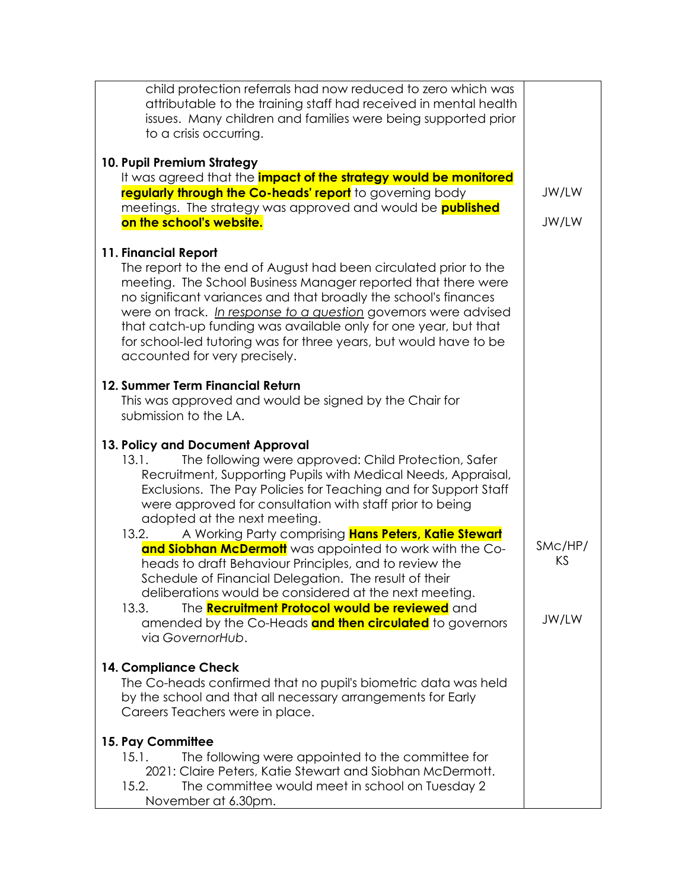| child protection referrals had now reduced to zero which was<br>attributable to the training staff had received in mental health<br>issues. Many children and families were being supported prior<br>to a crisis occurring.                                                                                                                                                                                                                                              |               |
|--------------------------------------------------------------------------------------------------------------------------------------------------------------------------------------------------------------------------------------------------------------------------------------------------------------------------------------------------------------------------------------------------------------------------------------------------------------------------|---------------|
| 10. Pupil Premium Strategy<br>It was agreed that the <i>impact of the strategy would be monitored</i><br>regularly through the Co-heads' report to governing body<br>meetings. The strategy was approved and would be <b>published</b><br>on the school's website.                                                                                                                                                                                                       |               |
| 11. Financial Report<br>The report to the end of August had been circulated prior to the<br>meeting. The School Business Manager reported that there were<br>no significant variances and that broadly the school's finances<br>were on track. In response to a question governors were advised<br>that catch-up funding was available only for one year, but that<br>for school-led tutoring was for three years, but would have to be<br>accounted for very precisely. |               |
| 12. Summer Term Financial Return<br>This was approved and would be signed by the Chair for<br>submission to the LA.                                                                                                                                                                                                                                                                                                                                                      |               |
| 13. Policy and Document Approval<br>The following were approved: Child Protection, Safer<br>13.1.<br>Recruitment, Supporting Pupils with Medical Needs, Appraisal,<br>Exclusions. The Pay Policies for Teaching and for Support Staff<br>were approved for consultation with staff prior to being<br>adopted at the next meeting.                                                                                                                                        |               |
| A Working Party comprising Hans Peters, Katie Stewart<br>13.2.<br>and Siobhan McDermott was appointed to work with the Co-<br>heads to draft Behaviour Principles, and to review the<br>Schedule of Financial Delegation. The result of their<br>deliberations would be considered at the next meeting.                                                                                                                                                                  | SMc/HP/<br>ΚS |
| The <b>Recruitment Protocol would be reviewed</b> and<br>13.3.<br>amended by the Co-Heads and then circulated to governors<br>via GovernorHub.                                                                                                                                                                                                                                                                                                                           | JW/LW         |
| 14. Compliance Check<br>The Co-heads confirmed that no pupil's biometric data was held<br>by the school and that all necessary arrangements for Early<br>Careers Teachers were in place.                                                                                                                                                                                                                                                                                 |               |
| 15. Pay Committee<br>The following were appointed to the committee for<br>15.1.<br>2021: Claire Peters, Katie Stewart and Siobhan McDermott.<br>The committee would meet in school on Tuesday 2<br>15.2.<br>November at 6.30pm.                                                                                                                                                                                                                                          |               |